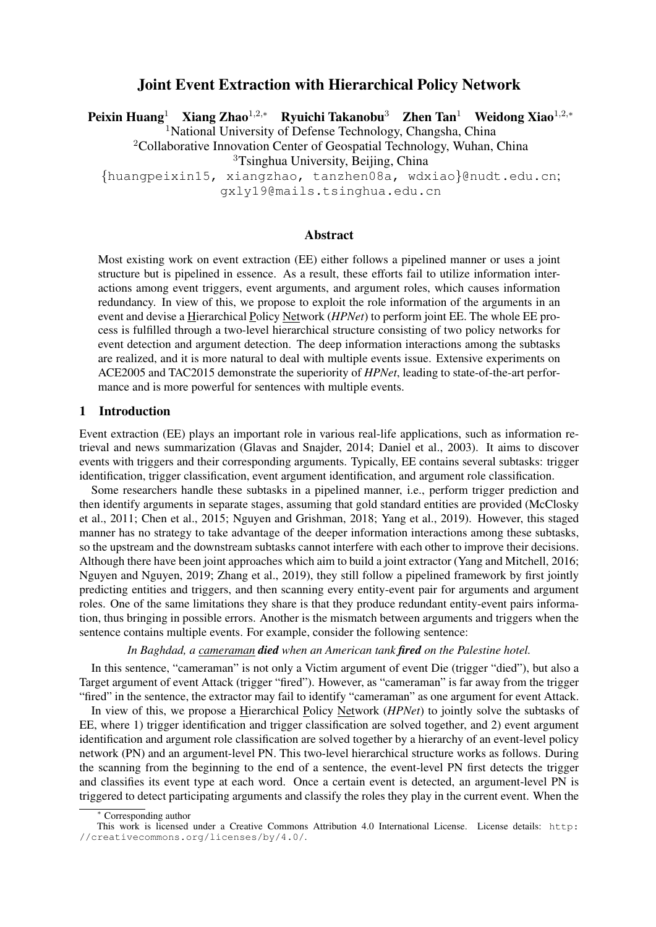# Joint Event Extraction with Hierarchical Policy Network

Peixin Huang<sup>1</sup> Xiang Zhao<sup>1,2,∗</sup> Ryuichi Takanobu<sup>3</sup> Zhen Tan<sup>1</sup> Weidong Xiao<sup>1,2,</sup>\* <sup>1</sup>National University of Defense Technology, Changsha, China <sup>2</sup>Collaborative Innovation Center of Geospatial Technology, Wuhan, China <sup>3</sup>Tsinghua University, Beijing, China {huangpeixin15, xiangzhao, tanzhen08a, wdxiao}@nudt.edu.cn;

gxly19@mails.tsinghua.edu.cn

## Abstract

Most existing work on event extraction (EE) either follows a pipelined manner or uses a joint structure but is pipelined in essence. As a result, these efforts fail to utilize information interactions among event triggers, event arguments, and argument roles, which causes information redundancy. In view of this, we propose to exploit the role information of the arguments in an event and devise a Hierarchical Policy Network (*HPNet*) to perform joint EE. The whole EE process is fulfilled through a two-level hierarchical structure consisting of two policy networks for event detection and argument detection. The deep information interactions among the subtasks are realized, and it is more natural to deal with multiple events issue. Extensive experiments on ACE2005 and TAC2015 demonstrate the superiority of *HPNet*, leading to state-of-the-art performance and is more powerful for sentences with multiple events.

## <span id="page-0-0"></span>1 Introduction

Event extraction (EE) plays an important role in various real-life applications, such as information retrieval and news summarization [\(Glavas and Snajder, 2014;](#page-9-0) [Daniel et al., 2003\)](#page-9-1). It aims to discover events with triggers and their corresponding arguments. Typically, EE contains several subtasks: trigger identification, trigger classification, event argument identification, and argument role classification.

Some researchers handle these subtasks in a pipelined manner, i.e., perform trigger prediction and then identify arguments in separate stages, assuming that gold standard entities are provided [\(McClosky](#page-10-0) [et al., 2011;](#page-10-0) [Chen et al., 2015;](#page-9-2) [Nguyen and Grishman, 2018;](#page-10-1) [Yang et al., 2019\)](#page-11-0). However, this staged manner has no strategy to take advantage of the deeper information interactions among these subtasks, so the upstream and the downstream subtasks cannot interfere with each other to improve their decisions. Although there have been joint approaches which aim to build a joint extractor [\(Yang and Mitchell, 2016;](#page-11-1) [Nguyen and Nguyen, 2019;](#page-10-2) [Zhang et al., 2019\)](#page-11-2), they still follow a pipelined framework by first jointly predicting entities and triggers, and then scanning every entity-event pair for arguments and argument roles. One of the same limitations they share is that they produce redundant entity-event pairs information, thus bringing in possible errors. Another is the mismatch between arguments and triggers when the sentence contains multiple events. For example, consider the following sentence:

*In Baghdad, a cameraman died when an American tank fired on the Palestine hotel.*

In this sentence, "cameraman" is not only a Victim argument of event Die (trigger "died"), but also a Target argument of event Attack (trigger "fired"). However, as "cameraman" is far away from the trigger "fired" in the sentence, the extractor may fail to identify "cameraman" as one argument for event Attack.

In view of this, we propose a Hierarchical Policy Network (*HPNet*) to jointly solve the subtasks of EE, where 1) trigger identification and trigger classification are solved together, and 2) event argument identification and argument role classification are solved together by a hierarchy of an event-level policy network (PN) and an argument-level PN. This two-level hierarchical structure works as follows. During the scanning from the beginning to the end of a sentence, the event-level PN first detects the trigger and classifies its event type at each word. Once a certain event is detected, an argument-level PN is triggered to detect participating arguments and classify the roles they play in the current event. When the

**Corresponding author** 

This work is licensed under a Creative Commons Attribution 4.0 International License. License details: [http:](http://creativecommons.org/licenses/by/4.0/) [//creativecommons.org/licenses/by/4.0/](http://creativecommons.org/licenses/by/4.0/).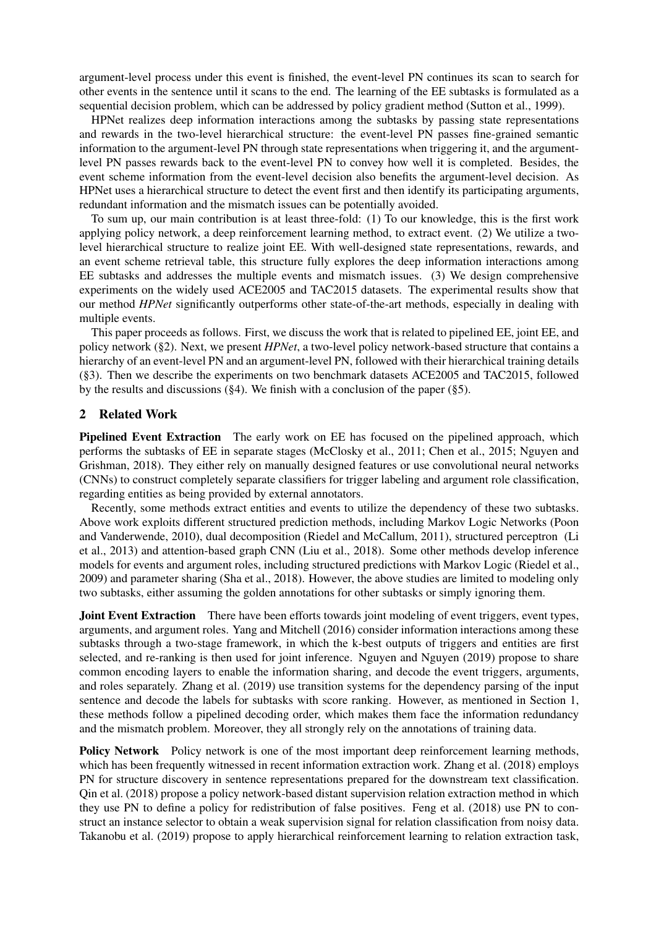argument-level process under this event is finished, the event-level PN continues its scan to search for other events in the sentence until it scans to the end. The learning of the EE subtasks is formulated as a sequential decision problem, which can be addressed by policy gradient method [\(Sutton et al., 1999\)](#page-10-3).

HPNet realizes deep information interactions among the subtasks by passing state representations and rewards in the two-level hierarchical structure: the event-level PN passes fine-grained semantic information to the argument-level PN through state representations when triggering it, and the argumentlevel PN passes rewards back to the event-level PN to convey how well it is completed. Besides, the event scheme information from the event-level decision also benefits the argument-level decision. As HPNet uses a hierarchical structure to detect the event first and then identify its participating arguments, redundant information and the mismatch issues can be potentially avoided.

To sum up, our main contribution is at least three-fold: (1) To our knowledge, this is the first work applying policy network, a deep reinforcement learning method, to extract event. (2) We utilize a twolevel hierarchical structure to realize joint EE. With well-designed state representations, rewards, and an event scheme retrieval table, this structure fully explores the deep information interactions among EE subtasks and addresses the multiple events and mismatch issues. (3) We design comprehensive experiments on the widely used ACE2005 and TAC2015 datasets. The experimental results show that our method *HPNet* significantly outperforms other state-of-the-art methods, especially in dealing with multiple events.

This paper proceeds as follows. First, we discuss the work that is related to pipelined EE, joint EE, and policy network ([§2\)](#page-1-0). Next, we present *HPNet*, a two-level policy network-based structure that contains a hierarchy of an event-level PN and an argument-level PN, followed with their hierarchical training details ([§3\)](#page-2-0). Then we describe the experiments on two benchmark datasets ACE2005 and TAC2015, followed by the results and discussions ([§4\)](#page-5-0). We finish with a conclusion of the paper ([§5\)](#page-9-3).

## <span id="page-1-0"></span>2 Related Work

Pipelined Event Extraction The early work on EE has focused on the pipelined approach, which performs the subtasks of EE in separate stages [\(McClosky et al., 2011;](#page-10-0) [Chen et al., 2015;](#page-9-2) [Nguyen and](#page-10-1) [Grishman, 2018\)](#page-10-1). They either rely on manually designed features or use convolutional neural networks (CNNs) to construct completely separate classifiers for trigger labeling and argument role classification, regarding entities as being provided by external annotators.

Recently, some methods extract entities and events to utilize the dependency of these two subtasks. Above work exploits different structured prediction methods, including Markov Logic Networks [\(Poon](#page-10-4) [and Vanderwende, 2010\)](#page-10-4), dual decomposition [\(Riedel and McCallum, 2011\)](#page-10-5), structured perceptron [\(Li](#page-10-6) [et al., 2013\)](#page-10-6) and attention-based graph CNN [\(Liu et al., 2018\)](#page-10-7). Some other methods develop inference models for events and argument roles, including structured predictions with Markov Logic [\(Riedel et al.,](#page-10-8) [2009\)](#page-10-8) and parameter sharing [\(Sha et al., 2018\)](#page-10-9). However, the above studies are limited to modeling only two subtasks, either assuming the golden annotations for other subtasks or simply ignoring them.

Joint Event Extraction There have been efforts towards joint modeling of event triggers, event types, arguments, and argument roles. [Yang and Mitchell \(2016\)](#page-11-1) consider information interactions among these subtasks through a two-stage framework, in which the k-best outputs of triggers and entities are first selected, and re-ranking is then used for joint inference. [Nguyen and Nguyen \(2019\)](#page-10-2) propose to share common encoding layers to enable the information sharing, and decode the event triggers, arguments, and roles separately. [Zhang et al. \(2019\)](#page-11-2) use transition systems for the dependency parsing of the input sentence and decode the labels for subtasks with score ranking. However, as mentioned in Section [1,](#page-0-0) these methods follow a pipelined decoding order, which makes them face the information redundancy and the mismatch problem. Moreover, they all strongly rely on the annotations of training data.

Policy Network Policy network is one of the most important deep reinforcement learning methods, which has been frequently witnessed in recent information extraction work. [Zhang et al. \(2018\)](#page-11-3) employs PN for structure discovery in sentence representations prepared for the downstream text classification. [Qin et al. \(2018\)](#page-10-10) propose a policy network-based distant supervision relation extraction method in which they use PN to define a policy for redistribution of false positives. [Feng et al. \(2018\)](#page-9-4) use PN to construct an instance selector to obtain a weak supervision signal for relation classification from noisy data. [Takanobu et al. \(2019\)](#page-10-11) propose to apply hierarchical reinforcement learning to relation extraction task,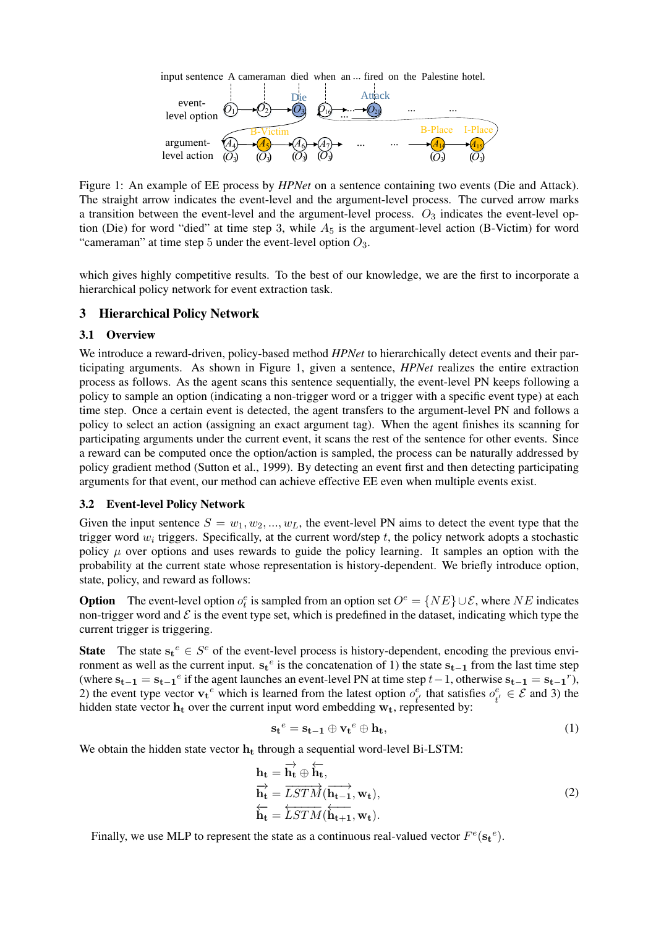input sentence A cameraman died when an ... fired on the Palestine hotel.



<span id="page-2-1"></span>Figure 1: An example of EE process by *HPNet* on a sentence containing two events (Die and Attack). The straight arrow indicates the event-level and the argument-level process. The curved arrow marks a transition between the event-level and the argument-level process.  $O_3$  indicates the event-level option (Die) for word "died" at time step 3, while  $A_5$  is the argument-level action (B-Victim) for word "cameraman" at time step 5 under the event-level option  $O_3$ .

which gives highly competitive results. To the best of our knowledge, we are the first to incorporate a hierarchical policy network for event extraction task.

## <span id="page-2-0"></span>3 Hierarchical Policy Network

### 3.1 Overview

We introduce a reward-driven, policy-based method *HPNet* to hierarchically detect events and their participating arguments. As shown in Figure [1,](#page-2-1) given a sentence, *HPNet* realizes the entire extraction process as follows. As the agent scans this sentence sequentially, the event-level PN keeps following a policy to sample an option (indicating a non-trigger word or a trigger with a specific event type) at each time step. Once a certain event is detected, the agent transfers to the argument-level PN and follows a policy to select an action (assigning an exact argument tag). When the agent finishes its scanning for participating arguments under the current event, it scans the rest of the sentence for other events. Since a reward can be computed once the option/action is sampled, the process can be naturally addressed by policy gradient method [\(Sutton et al., 1999\)](#page-10-3). By detecting an event first and then detecting participating arguments for that event, our method can achieve effective EE even when multiple events exist.

### 3.2 Event-level Policy Network

Given the input sentence  $S = w_1, w_2, ..., w_L$ , the event-level PN aims to detect the event type that the trigger word  $w_i$  triggers. Specifically, at the current word/step t, the policy network adopts a stochastic policy  $\mu$  over options and uses rewards to guide the policy learning. It samples an option with the probability at the current state whose representation is history-dependent. We briefly introduce option, state, policy, and reward as follows:

**Option** The event-level option  $o_t^e$  is sampled from an option set  $O^e = \{NE\} \cup \mathcal{E}$ , where NE indicates non-trigger word and  $\mathcal E$  is the event type set, which is predefined in the dataset, indicating which type the current trigger is triggering.

**State** The state  $\mathbf{s_t}^e \in S^e$  of the event-level process is history-dependent, encoding the previous environment as well as the current input.  $s_t^e$  is the concatenation of 1) the state  $s_{t-1}$  from the last time step (where  $s_{t-1} = s_{t-1}^e$  if the agent launches an event-level PN at time step  $t-1$ , otherwise  $s_{t-1} = s_{t-1}^r$ ), 2) the event type vector  $\mathbf{v_t}^e$  which is learned from the latest option  $o_t^e$  $t_t^{e}$  that satisfies  $o_t^e$  $t_i^e \in \mathcal{E}$  and 3) the hidden state vector  $h_t$  over the current input word embedding  $w_t$ , represented by:

<span id="page-2-3"></span>
$$
\mathbf{s_t}^e = \mathbf{s_{t-1}} \oplus \mathbf{v_t}^e \oplus \mathbf{h_t},\tag{1}
$$

We obtain the hidden state vector  $h_t$  through a sequential word-level Bi-LSTM:

<span id="page-2-2"></span>
$$
\mathbf{h}_{t} = \overrightarrow{\mathbf{h}_{t}} \oplus \overleftarrow{\mathbf{h}_{t}}, \n\overrightarrow{\mathbf{h}_{t}} = \overrightarrow{LSTM}(\overrightarrow{\mathbf{h}_{t-1}}, \mathbf{w}_{t}), \n\overleftarrow{\mathbf{h}_{t}} = \overleftarrow{LSTM}(\overleftarrow{\mathbf{h}_{t+1}}, \mathbf{w}_{t}).
$$
\n(2)

Finally, we use MLP to represent the state as a continuous real-valued vector  $F^e(\mathbf{s_t}^e)$ .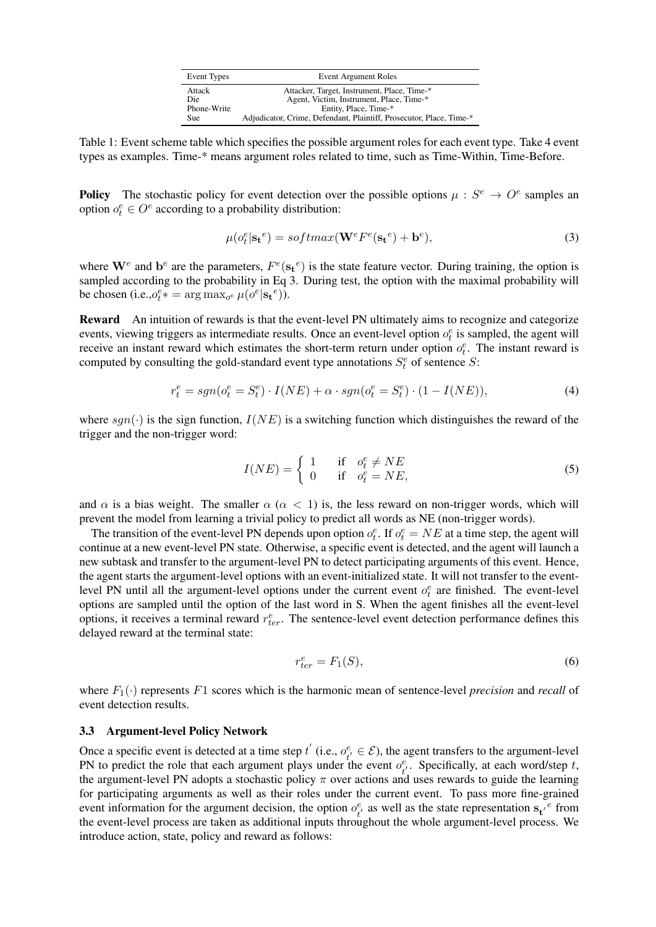| Event Types | <b>Event Argument Roles</b>                                         |
|-------------|---------------------------------------------------------------------|
| Attack      | Attacker, Target, Instrument, Place, Time-*                         |
| Die         | Agent, Victim, Instrument, Place, Time-*                            |
| Phone-Write | Entity, Place, Time-*                                               |
| Sue         | Adjudicator, Crime, Defendant, Plaintiff, Prosecutor, Place, Time-* |

<span id="page-3-1"></span>Table 1: Event scheme table which specifies the possible argument roles for each event type. Take 4 event types as examples. Time-\* means argument roles related to time, such as Time-Within, Time-Before.

**Policy** The stochastic policy for event detection over the possible options  $\mu : S^e \to O^e$  samples an option  $o_t^e \in O^e$  according to a probability distribution:

<span id="page-3-0"></span>
$$
\mu(o_t^e | \mathbf{s_t}^e) = softmax(\mathbf{W}^e F^e(\mathbf{s_t}^e) + \mathbf{b}^e),
$$
\n(3)

where  $\mathbf{W}^e$  and  $\mathbf{b}^e$  are the parameters,  $F^e(\mathbf{s_t}^e)$  is the state feature vector. During training, the option is sampled according to the probability in Eq [3.](#page-3-0) During test, the option with the maximal probability will be chosen (i.e., $o_t^e* = \arg \max_{o^e} \mu(o^e | s_t^e)$ ).

Reward An intuition of rewards is that the event-level PN ultimately aims to recognize and categorize events, viewing triggers as intermediate results. Once an event-level option  $o_t^e$  is sampled, the agent will receive an instant reward which estimates the short-term return under option  $o_t^e$ . The instant reward is computed by consulting the gold-standard event type annotations  $S_t^e$  of sentence S:

$$
r_t^e = sgn(o_t^e = S_t^e) \cdot I(NE) + \alpha \cdot sgn(o_t^e = S_t^e) \cdot (1 - I(NE)),\tag{4}
$$

where  $sgn(\cdot)$  is the sign function,  $I(NE)$  is a switching function which distinguishes the reward of the trigger and the non-trigger word:

<span id="page-3-2"></span>
$$
I(NE) = \begin{cases} 1 & \text{if } o_t^e \neq NE \\ 0 & \text{if } o_t^e = NE, \end{cases}
$$
 (5)

and  $\alpha$  is a bias weight. The smaller  $\alpha$  ( $\alpha$  < 1) is, the less reward on non-trigger words, which will prevent the model from learning a trivial policy to predict all words as NE (non-trigger words).

The transition of the event-level PN depends upon option  $o_t^e$ . If  $o_t^e = NE$  at a time step, the agent will continue at a new event-level PN state. Otherwise, a specific event is detected, and the agent will launch a new subtask and transfer to the argument-level PN to detect participating arguments of this event. Hence, the agent starts the argument-level options with an event-initialized state. It will not transfer to the eventlevel PN until all the argument-level options under the current event  $o_t^e$  are finished. The event-level options are sampled until the option of the last word in S. When the agent finishes all the event-level options, it receives a terminal reward  $r_{ter}^e$ . The sentence-level event detection performance defines this delayed reward at the terminal state:

<span id="page-3-3"></span>
$$
r_{ter}^e = F_1(S),\tag{6}
$$

where  $F_1(\cdot)$  represents F1 scores which is the harmonic mean of sentence-level *precision* and *recall* of event detection results.

### 3.3 Argument-level Policy Network

Once a specific event is detected at a time step  $t'$  (i.e.,  $o_t^e$ )  $t_i^e \in \mathcal{E}$ ), the agent transfers to the argument-level PN to predict the role that each argument plays under the event  $o_t^e$  $t_i^e$ . Specifically, at each word/step t, the argument-level PN adopts a stochastic policy  $\pi$  over actions and uses rewards to guide the learning for participating arguments as well as their roles under the current event. To pass more fine-grained event information for the argument decision, the option  $o_t^e$  $t_i^e$  as well as the state representation  $s_t^e$  from the event-level process are taken as additional inputs throughout the whole argument-level process. We introduce action, state, policy and reward as follows: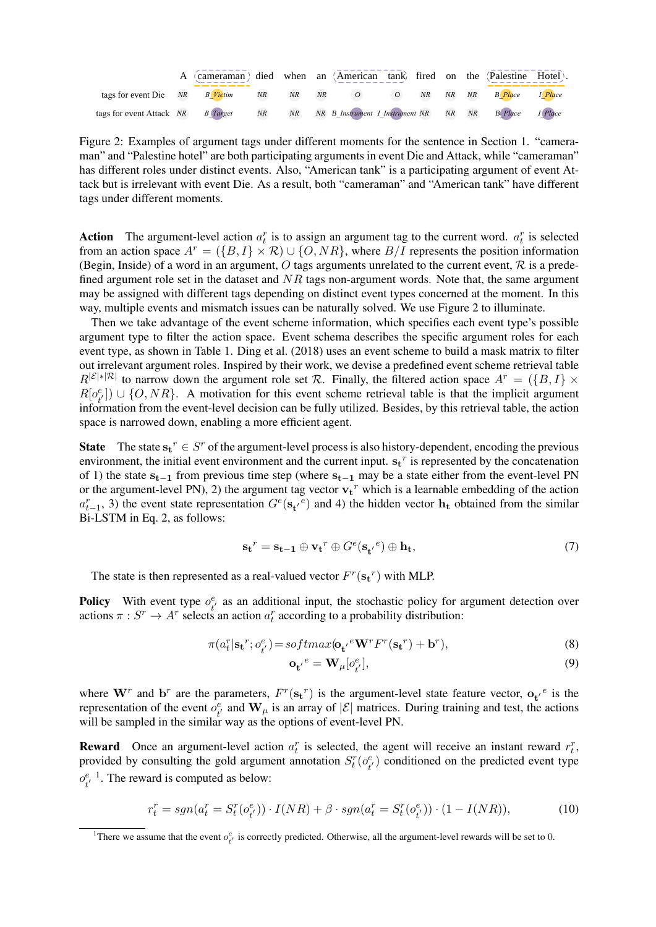|                                                                                               | A (cameraman) died when an (American tank) fired on the (Palestine Hotel). |  |  |  |  |  |
|-----------------------------------------------------------------------------------------------|----------------------------------------------------------------------------|--|--|--|--|--|
| tags for event Die NR B Victim NR NR NR O O NR NR NR B Place 1 Place                          |                                                                            |  |  |  |  |  |
| tags for event Attack NR B Tanget NR NR NR B Instrument 1 Instrument NR NR NR B Place 1 Place |                                                                            |  |  |  |  |  |

<span id="page-4-0"></span>Figure 2: Examples of argument tags under different moments for the sentence in Section [1.](#page-0-0) "cameraman" and "Palestine hotel" are both participating arguments in event Die and Attack, while "cameraman" has different roles under distinct events. Also, "American tank" is a participating argument of event Attack but is irrelevant with event Die. As a result, both "cameraman" and "American tank" have different tags under different moments.

Action The argument-level action  $a_t^r$  is to assign an argument tag to the current word.  $a_t^r$  is selected from an action space  $A^r = (\{B, I\} \times \mathcal{R}) \cup \{O, NR\}$ , where  $B/I$  represents the position information (Begin, Inside) of a word in an argument, O tags arguments unrelated to the current event,  $\mathcal R$  is a predefined argument role set in the dataset and  $NR$  tags non-argument words. Note that, the same argument may be assigned with different tags depending on distinct event types concerned at the moment. In this way, multiple events and mismatch issues can be naturally solved. We use Figure [2](#page-4-0) to illuminate.

Then we take advantage of the event scheme information, which specifies each event type's possible argument type to filter the action space. Event schema describes the specific argument roles for each event type, as shown in Table [1.](#page-3-1) [Ding et al. \(2018\)](#page-9-5) uses an event scheme to build a mask matrix to filter out irrelevant argument roles. Inspired by their work, we devise a predefined event scheme retrieval table  $R^{|\mathcal{E}| \times |\mathcal{R}|}$  to narrow down the argument role set R. Finally, the filtered action space  $A^r = (\{B, I\} \times$  $R[o^e]$  $\binom{e}{t}$   $\cup$  {O, NR}. A motivation for this event scheme retrieval table is that the implicit argument information from the event-level decision can be fully utilized. Besides, by this retrieval table, the action space is narrowed down, enabling a more efficient agent.

**State** The state  $\mathbf{s_t}^r \in S^r$  of the argument-level process is also history-dependent, encoding the previous environment, the initial event environment and the current input.  $\mathbf{s_t}^r$  is represented by the concatenation of 1) the state  $s_{t-1}$  from previous time step (where  $s_{t-1}$  may be a state either from the event-level PN or the argument-level PN), 2) the argument tag vector  $\mathbf{v_t}^r$  which is a learnable embedding of the action  $a_{t-1}^r$ , 3) the event state representation  $G^e(\mathbf{s_t}^i)^e$  and 4) the hidden vector  $\mathbf{h_t}$  obtained from the similar Bi-LSTM in Eq. [2,](#page-2-2) as follows:

<span id="page-4-3"></span>
$$
\mathbf{s_t}^r = \mathbf{s_{t-1}} \oplus \mathbf{v_t}^r \oplus G^e(\mathbf{s_{t'}}^e) \oplus \mathbf{h_t},\tag{7}
$$

The state is then represented as a real-valued vector  $F^r(\mathbf{s_t}^r)$  with MLP.

**Policy** With event type  $o^e_i$  $t_t^e$  as an additional input, the stochastic policy for argument detection over actions  $\pi: S^r \to A^r$  selects an action  $a_t^r$  according to a probability distribution:

<span id="page-4-4"></span>
$$
\pi(a_t^r | \mathbf{s_t}^r; o_{t'}^e) = softmax(\mathbf{o_t'}^e \mathbf{W}^r F^r(\mathbf{s_t}^r) + \mathbf{b}^r),
$$
\n(8)

<span id="page-4-2"></span>
$$
\mathbf{o}_{t'}^{\ e} = \mathbf{W}_{\mu} [o_{t'}^{e}], \tag{9}
$$

where  $W^r$  and  $b^r$  are the parameters,  $F^r(s_t)^r$  is the argument-level state feature vector,  $o_t^e$  is the representation of the event  $o_t^e$  $t_t^e$  and  $\mathbf{W}_{\mu}$  is an array of  $|\mathcal{E}|$  matrices. During training and test, the actions will be sampled in the similar way as the options of event-level PN.

**Reward** Once an argument-level action  $a_t^r$  is selected, the agent will receive an instant reward  $r_t^r$ , provided by consulting the gold argument annotation  $S_t^r(o_t^e)$  $t(t)$  conditioned on the predicted event type  $o^e_{\mu}$  $t^{e-1}_{t}$  $t^{e-1}_{t}$  $t^{e-1}_{t}$ . The reward is computed as below:

$$
r_t^r = sgn(a_t^r = S_t^r(o_{t'}^e)) \cdot I(NR) + \beta \cdot sgn(a_t^r = S_t^r(o_{t'}^e)) \cdot (1 - I(NR)),\tag{10}
$$

<span id="page-4-1"></span><sup>&</sup>lt;sup>1</sup>There we assume that the event  $o_{t'}^e$  is correctly predicted. Otherwise, all the argument-level rewards will be set to 0.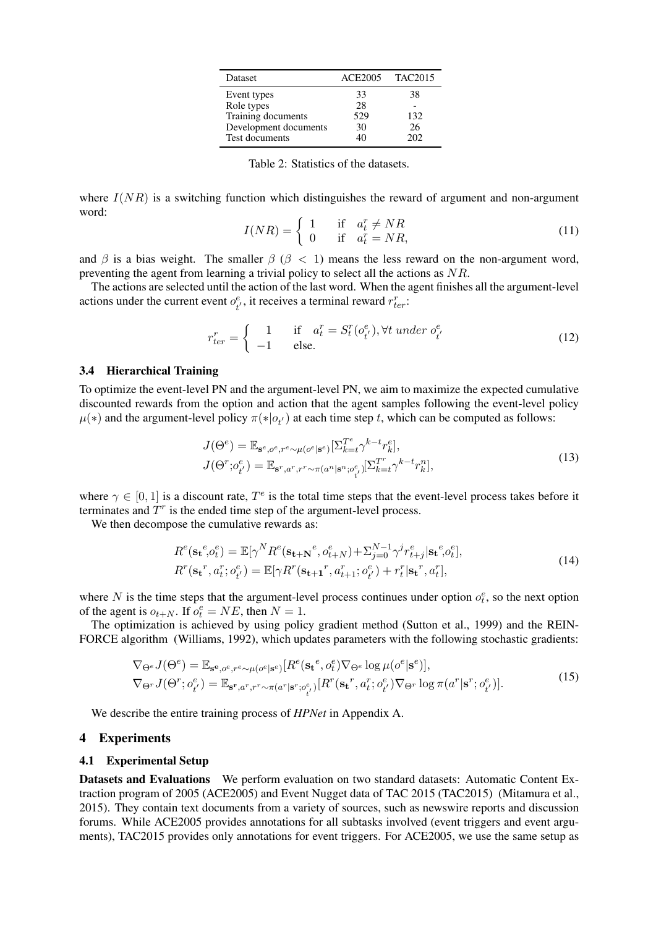| <b>Dataset</b>        | ACE2005 TAC2015 |     |
|-----------------------|-----------------|-----|
| Event types           | 33              | 38  |
| Role types            | 28              |     |
| Training documents    | 529             | 132 |
| Development documents | 30              | 26  |
| Test documents        | 40              | 202 |

<span id="page-5-1"></span>Table 2: Statistics of the datasets.

where  $I(NR)$  is a switching function which distinguishes the reward of argument and non-argument word:

$$
I(NR) = \begin{cases} 1 & \text{if } a_t^r \neq NR \\ 0 & \text{if } a_t^r = NR, \end{cases}
$$
 (11)

and  $\beta$  is a bias weight. The smaller  $\beta$  ( $\beta$  < 1) means the less reward on the non-argument word, preventing the agent from learning a trivial policy to select all the actions as NR.

The actions are selected until the action of the last word. When the agent finishes all the argument-level actions under the current event  $o_t^e$  $t^{e}_{t}$ , it receives a terminal reward  $r_{ter}^{r}$ :

<span id="page-5-2"></span>
$$
r_{ter}^r = \begin{cases} 1 & \text{if } a_t^r = S_t^r(o_{t'}^e), \forall t \ under \ o_{t'}^e \\ -1 & \text{else.} \end{cases}
$$
 (12)

### 3.4 Hierarchical Training

To optimize the event-level PN and the argument-level PN, we aim to maximize the expected cumulative discounted rewards from the option and action that the agent samples following the event-level policy  $\mu(*)$  and the argument-level policy  $\pi(*)o_{t'}$  at each time step t, which can be computed as follows:

$$
J(\Theta^e) = \mathbb{E}_{\mathbf{s}^e, o^e, r^e \sim \mu(o^e | \mathbf{s}^e)}[\Sigma_{k=t}^{T^e} \gamma^{k-t} r_k^e],
$$
  
\n
$$
J(\Theta^r; o^e_{t'}) = \mathbb{E}_{\mathbf{s}^r, a^r, r^r \sim \pi(a^n | \mathbf{s}^n; o^e_{t'})}[\Sigma_{k=t}^{T^r} \gamma^{k-t} r_k^n],
$$
\n(13)

where  $\gamma \in [0,1]$  is a discount rate,  $T^e$  is the total time steps that the event-level process takes before it terminates and  $T<sup>r</sup>$  is the ended time step of the argument-level process.

We then decompose the cumulative rewards as:

$$
R^{e}(\mathbf{s}_{\mathbf{t}}^{e}, o_{t}^{e}) = \mathbb{E}[\gamma^{N} R^{e}(\mathbf{s}_{\mathbf{t}+\mathbf{N}}^{e}, o_{t+N}^{e}) + \sum_{j=0}^{N-1} \gamma^{j} r_{t+j}^{e} |\mathbf{s}_{\mathbf{t}}^{e}, o_{t}^{e}],
$$
  
\n
$$
R^{r}(\mathbf{s}_{\mathbf{t}}^{r}, a_{t}^{r}; o_{t'}^{e}) = \mathbb{E}[\gamma R^{r}(\mathbf{s}_{\mathbf{t}+\mathbf{1}}^{r}, a_{t+1}^{r}; o_{t'}^{e}) + r_{t}^{r} |\mathbf{s}_{\mathbf{t}}^{r}, a_{t}^{r}],
$$
\n(14)

where N is the time steps that the argument-level process continues under option  $o_t^e$ , so the next option of the agent is  $o_{t+N}$ . If  $o_t^e = NE$ , then  $N = 1$ .

The optimization is achieved by using policy gradient method [\(Sutton et al., 1999\)](#page-10-3) and the REIN-FORCE algorithm [\(Williams, 1992\)](#page-11-4), which updates parameters with the following stochastic gradients:

<span id="page-5-3"></span>
$$
\nabla_{\Theta^e} J(\Theta^e) = \mathbb{E}_{\mathbf{s}^e, o^e, r^e \sim \mu(o^e | \mathbf{s}^e)} [R^e(\mathbf{s_t}^e, o_t^e) \nabla_{\Theta^e} \log \mu(o^e | \mathbf{s}^e)],
$$
  
\n
$$
\nabla_{\Theta^r} J(\Theta^r; o_{t'}^e) = \mathbb{E}_{\mathbf{s}^r, a^r, r^r \sim \pi(a^r | \mathbf{s}^r; o_{t'}^e)} [R^r(\mathbf{s_t}^r, a_t^r; o_{t'}^e) \nabla_{\Theta^r} \log \pi(a^r | \mathbf{s}^r; o_{t'}^e)].
$$
\n(15)

We describe the entire training process of *HPNet* in Appendix A.

### <span id="page-5-0"></span>4 Experiments

#### 4.1 Experimental Setup

Datasets and Evaluations We perform evaluation on two standard datasets: Automatic Content Extraction program of 2005 (ACE2005) and Event Nugget data of TAC 2015 (TAC2015) [\(Mitamura et al.,](#page-10-12) [2015\)](#page-10-12). They contain text documents from a variety of sources, such as newswire reports and discussion forums. While ACE2005 provides annotations for all subtasks involved (event triggers and event arguments), TAC2015 provides only annotations for event triggers. For ACE2005, we use the same setup as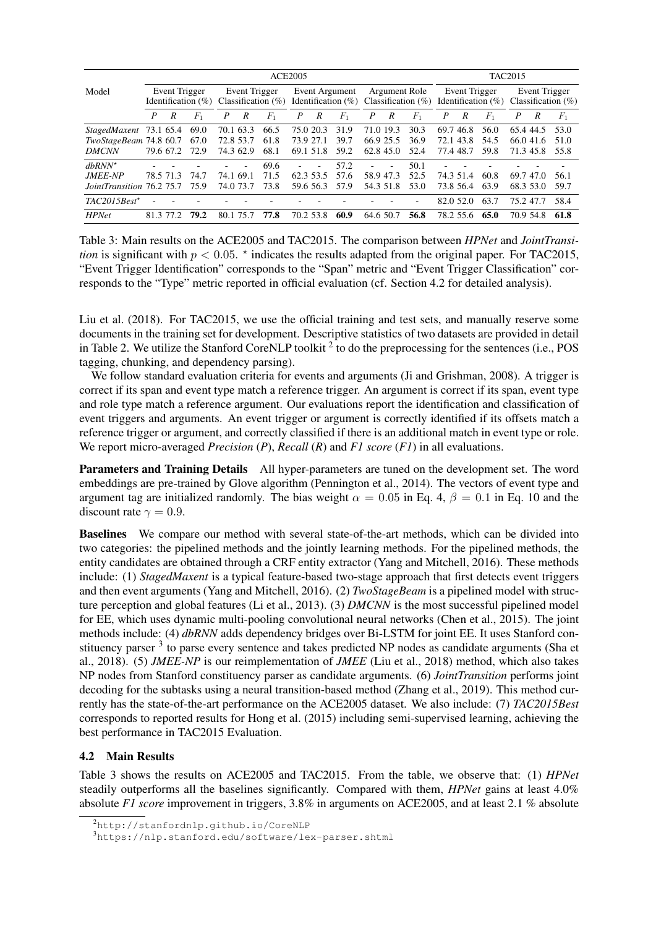|                                                  | <b>ACE2005</b> |                                         |       |                |           |       |                                                              |                |         | <b>TAC2015</b>                         |                          |       |                                         |           |       |           |           |       |
|--------------------------------------------------|----------------|-----------------------------------------|-------|----------------|-----------|-------|--------------------------------------------------------------|----------------|---------|----------------------------------------|--------------------------|-------|-----------------------------------------|-----------|-------|-----------|-----------|-------|
| Event Trigger<br>Model<br>Identification $(\% )$ |                | Event Trigger<br>Classification $(\% )$ |       | Event Argument |           |       | Argument Role<br>Identification $(\%)$ Classification $(\%)$ |                |         | Event Trigger<br>Identification $(\%)$ |                          |       | Event Trigger<br>Classification $(\% )$ |           |       |           |           |       |
|                                                  | P              | R                                       | $F_1$ | P              | R         | $F_1$ | P                                                            | R              | $F_{1}$ | $\boldsymbol{P}$                       | R                        | $F_1$ | P                                       | R         | $F_1$ | P         | R         | $F_1$ |
| StagedMaxent                                     |                | 73.1 65.4                               | 69.0  |                | 70.1 63.3 | 66.5  |                                                              | 75.0 20.3      | 31.9    |                                        | 71.0 19.3                | 30.3  | 69.7                                    | 46.8      | 56.0  | 65.4 44.5 |           | 53.0  |
| TwoStageBeam 74.8 60.7                           |                |                                         | 67.0  | 72.8 53.7      |           | 61.8  |                                                              | 73.9 27.1      | 39.7    |                                        | 66.9 25.5                | 36.9  |                                         | 72.1 43.8 | 54.5  |           | 66.041.6  | 51.0  |
| <b>DMCNN</b>                                     |                | 79.6 67.2                               | 72.9  |                | 74.3 62.9 | 68.1  |                                                              | 69.1 51.8      | 59.2    |                                        | 62.845.0                 | 52.4  |                                         | 77.4 48.7 | 59.8  | 71.345.8  |           | 55.8  |
| $dbRNN^*$                                        |                |                                         |       |                |           | 69.6  |                                                              | $\overline{a}$ | 57.2    | ٠                                      | $\overline{\phantom{a}}$ | 50.1  |                                         |           |       |           |           |       |
| JMEE-NP                                          |                | 78.5 71.3                               | 74.7  |                | 74.1 69.1 | 71.5  |                                                              | 62.3 53.5      | 57.6    |                                        | 58.947.3                 | 52.5  |                                         | 74.3 51.4 | 60.8  | 69.747.0  |           | 56.1  |
| JointTransition 76.2 75.7                        |                |                                         | 75.9  |                | 74.0 73.7 | 73.8  |                                                              | 59.6 56.3      | 57.9    |                                        | 54.3 51.8                | 53.0  |                                         | 73.8 56.4 | 63.9  | 68.3 53.0 |           | 59.7  |
| $TAC2015Best^*$                                  |                |                                         |       |                |           |       |                                                              |                |         |                                        |                          | ٠     |                                         | 82.0 52.0 | 63.7  | 75.247.7  |           | 58.4  |
| <b>HPNet</b>                                     |                | 81.3 77.2                               | 79.2  | 80.1 75.7      |           | 77.8  |                                                              | 70.2 53.8      | 60.9    |                                        | 64.6 50.7                | 56.8  |                                         | 78.2 55.6 | 65.0  |           | 70.9 54.8 | 61.8  |

<span id="page-6-3"></span>Table 3: Main results on the ACE2005 and TAC2015. The comparison between *HPNet* and *JointTransition* is significant with  $p < 0.05$ .  $\star$  indicates the results adapted from the original paper. For TAC2015, "Event Trigger Identification" corresponds to the "Span" metric and "Event Trigger Classification" corresponds to the "Type" metric reported in official evaluation (cf. Section [4.2](#page-6-0) for detailed analysis).

[Liu et al. \(2018\)](#page-10-7). For TAC2015, we use the official training and test sets, and manually reserve some documents in the training set for development. Descriptive statistics of two datasets are provided in detail in Table [2.](#page-5-1) We utilize the Stanford CoreNLP toolkit  $2$  to do the preprocessing for the sentences (i.e., POS tagging, chunking, and dependency parsing).

We follow standard evaluation criteria for events and arguments [\(Ji and Grishman, 2008\)](#page-10-13). A trigger is correct if its span and event type match a reference trigger. An argument is correct if its span, event type and role type match a reference argument. Our evaluations report the identification and classification of event triggers and arguments. An event trigger or argument is correctly identified if its offsets match a reference trigger or argument, and correctly classified if there is an additional match in event type or role. We report micro-averaged *Precision* (*P*), *Recall* (*R*) and *F1 score* (*F1*) in all evaluations.

Parameters and Training Details All hyper-parameters are tuned on the development set. The word embeddings are pre-trained by Glove algorithm [\(Pennington et al., 2014\)](#page-10-14). The vectors of event type and argument tag are initialized randomly. The bias weight  $\alpha = 0.05$  in Eq. [4,](#page-3-2)  $\beta = 0.1$  in Eq. [10](#page-4-2) and the discount rate  $\gamma = 0.9$ .

Baselines We compare our method with several state-of-the-art methods, which can be divided into two categories: the pipelined methods and the jointly learning methods. For the pipelined methods, the entity candidates are obtained through a CRF entity extractor [\(Yang and Mitchell, 2016\)](#page-11-1). These methods include: (1) *StagedMaxent* is a typical feature-based two-stage approach that first detects event triggers and then event arguments [\(Yang and Mitchell, 2016\)](#page-11-1). (2) *TwoStageBeam* is a pipelined model with structure perception and global features [\(Li et al., 2013\)](#page-10-6). (3) *DMCNN* is the most successful pipelined model for EE, which uses dynamic multi-pooling convolutional neural networks [\(Chen et al., 2015\)](#page-9-2). The joint methods include: (4) *dbRNN* adds dependency bridges over Bi-LSTM for joint EE. It uses Stanford con-stituency parser <sup>[3](#page-6-2)</sup> to parse every sentence and takes predicted NP nodes as candidate arguments [\(Sha et](#page-10-9) [al., 2018\)](#page-10-9). (5) *JMEE-NP* is our reimplementation of *JMEE* [\(Liu et al., 2018\)](#page-10-7) method, which also takes NP nodes from Stanford constituency parser as candidate arguments. (6) *JointTransition* performs joint decoding for the subtasks using a neural transition-based method [\(Zhang et al., 2019\)](#page-11-2). This method currently has the state-of-the-art performance on the ACE2005 dataset. We also include: (7) *TAC2015Best* corresponds to reported results for [Hong et al. \(2015\)](#page-9-6) including semi-supervised learning, achieving the best performance in TAC2015 Evaluation.

## <span id="page-6-0"></span>4.2 Main Results

Table [3](#page-6-3) shows the results on ACE2005 and TAC2015. From the table, we observe that: (1) *HPNet* steadily outperforms all the baselines significantly. Compared with them, *HPNet* gains at least 4.0% absolute *F1 score* improvement in triggers, 3.8% in arguments on ACE2005, and at least 2.1 % absolute

<span id="page-6-1"></span><sup>2</sup><http://stanfordnlp.github.io/CoreNLP>

<span id="page-6-2"></span><sup>3</sup><https://nlp.stanford.edu/software/lex-parser.shtml>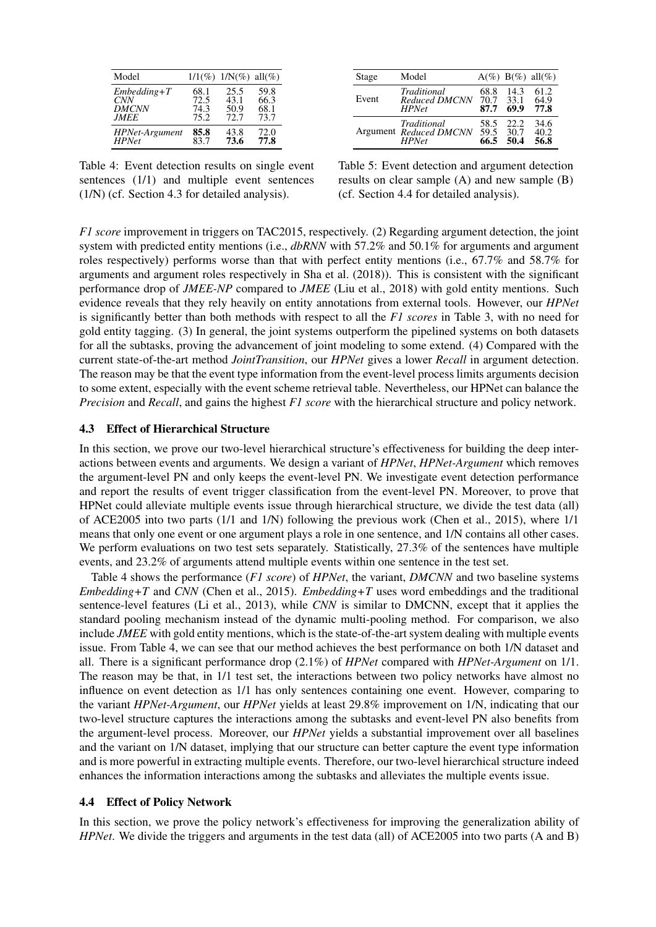| Model                 |      | $1/1(\%) 1/N(\%) 11(\%)$ |      |
|-----------------------|------|--------------------------|------|
| $Embedding+T$         | 68.1 | 25.5                     | 59.8 |
| <i>CNN</i>            | 72.5 | 43.1                     | 66.3 |
| <b>DMCNN</b>          | 74.3 | 50.9                     | 68.1 |
| <i>JMEE</i>           | 75.2 | 72.7                     | 73.7 |
| <b>HPNet-Argument</b> | 85.8 | 43.8                     | 72.0 |
| <b>HPNet</b>          | 83.7 | 73.6                     | 77.8 |

Stage Model  $A(\%) B(\%) all(\%)$ Event *Traditional* 68.8 14.3 61.2<br> *Reduced DMCNN* 70.7 33.1 64.9<br> *HPNet* **87.7 69.9 77.8** *Reduced DMCNN* 70.7 33.1 64.9 *HPNet* 87.7 69.9 77.8 Argument *Reduced DMCNN* 59.5 30.7 40.2 *Traditional* 58.5 22.2 34.6 *HPNet* 66.5 50.4 56.8

<span id="page-7-2"></span>Table 4: Event detection results on single event sentences (1/1) and multiple event sentences (1/N) (cf. Section [4.3](#page-7-0) for detailed analysis).

<span id="page-7-3"></span>Table 5: Event detection and argument detection results on clear sample (A) and new sample (B) (cf. Section [4.4](#page-7-1) for detailed analysis).

*F1 score* improvement in triggers on TAC2015, respectively. (2) Regarding argument detection, the joint system with predicted entity mentions (i.e., *dbRNN* with 57.2% and 50.1% for arguments and argument roles respectively) performs worse than that with perfect entity mentions (i.e., 67.7% and 58.7% for arguments and argument roles respectively in [Sha et al. \(2018\)](#page-10-9)). This is consistent with the significant performance drop of *JMEE-NP* compared to *JMEE* [\(Liu et al., 2018\)](#page-10-7) with gold entity mentions. Such evidence reveals that they rely heavily on entity annotations from external tools. However, our *HPNet* is significantly better than both methods with respect to all the *F1 scores* in Table [3,](#page-6-3) with no need for gold entity tagging. (3) In general, the joint systems outperform the pipelined systems on both datasets for all the subtasks, proving the advancement of joint modeling to some extend. (4) Compared with the current state-of-the-art method *JointTransition*, our *HPNet* gives a lower *Recall* in argument detection. The reason may be that the event type information from the event-level process limits arguments decision to some extent, especially with the event scheme retrieval table. Nevertheless, our HPNet can balance the *Precision* and *Recall*, and gains the highest *F1 score* with the hierarchical structure and policy network.

## <span id="page-7-0"></span>4.3 Effect of Hierarchical Structure

In this section, we prove our two-level hierarchical structure's effectiveness for building the deep interactions between events and arguments. We design a variant of *HPNet*, *HPNet-Argument* which removes the argument-level PN and only keeps the event-level PN. We investigate event detection performance and report the results of event trigger classification from the event-level PN. Moreover, to prove that HPNet could alleviate multiple events issue through hierarchical structure, we divide the test data (all) of ACE2005 into two parts (1/1 and 1/N) following the previous work [\(Chen et al., 2015\)](#page-9-2), where 1/1 means that only one event or one argument plays a role in one sentence, and 1/N contains all other cases. We perform evaluations on two test sets separately. Statistically, 27.3% of the sentences have multiple events, and 23.2% of arguments attend multiple events within one sentence in the test set.

Table [4](#page-7-2) shows the performance (*F1 score*) of *HPNet*, the variant, *DMCNN* and two baseline systems *Embedding+T* and *CNN* [\(Chen et al., 2015\)](#page-9-2). *Embedding+T* uses word embeddings and the traditional sentence-level features [\(Li et al., 2013\)](#page-10-6), while *CNN* is similar to DMCNN, except that it applies the standard pooling mechanism instead of the dynamic multi-pooling method. For comparison, we also include *JMEE* with gold entity mentions, which is the state-of-the-art system dealing with multiple events issue. From Table [4,](#page-7-2) we can see that our method achieves the best performance on both 1/N dataset and all. There is a significant performance drop (2.1%) of *HPNet* compared with *HPNet-Argument* on 1/1. The reason may be that, in 1/1 test set, the interactions between two policy networks have almost no influence on event detection as 1/1 has only sentences containing one event. However, comparing to the variant *HPNet-Argument*, our *HPNet* yields at least 29.8% improvement on 1/N, indicating that our two-level structure captures the interactions among the subtasks and event-level PN also benefits from the argument-level process. Moreover, our *HPNet* yields a substantial improvement over all baselines and the variant on 1/N dataset, implying that our structure can better capture the event type information and is more powerful in extracting multiple events. Therefore, our two-level hierarchical structure indeed enhances the information interactions among the subtasks and alleviates the multiple events issue.

### <span id="page-7-1"></span>4.4 Effect of Policy Network

In this section, we prove the policy network's effectiveness for improving the generalization ability of *HPNet*. We divide the triggers and arguments in the test data (all) of ACE2005 into two parts (A and B)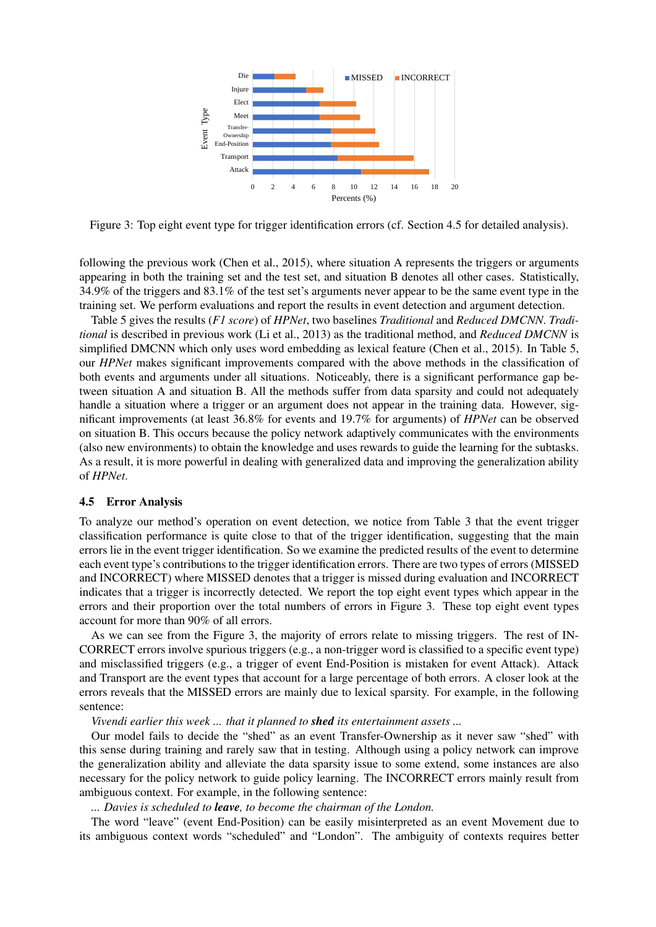

<span id="page-8-1"></span>Figure 3: Top eight event type for trigger identification errors (cf. Section [4.5](#page-8-0) for detailed analysis).

following the previous work [\(Chen et al., 2015\)](#page-9-2), where situation A represents the triggers or arguments appearing in both the training set and the test set, and situation B denotes all other cases. Statistically, 34.9% of the triggers and 83.1% of the test set's arguments never appear to be the same event type in the training set. We perform evaluations and report the results in event detection and argument detection.

Table [5](#page-7-3) gives the results (*F1 score*) of *HPNet*, two baselines *Traditional* and *Reduced DMCNN*. *Traditional* is described in previous work [\(Li et al., 2013\)](#page-10-6) as the traditional method, and *Reduced DMCNN* is simplified DMCNN which only uses word embedding as lexical feature [\(Chen et al., 2015\)](#page-9-2). In Table [5,](#page-7-3) our *HPNet* makes significant improvements compared with the above methods in the classification of both events and arguments under all situations. Noticeably, there is a significant performance gap between situation A and situation B. All the methods suffer from data sparsity and could not adequately handle a situation where a trigger or an argument does not appear in the training data. However, significant improvements (at least 36.8% for events and 19.7% for arguments) of *HPNet* can be observed on situation B. This occurs because the policy network adaptively communicates with the environments (also new environments) to obtain the knowledge and uses rewards to guide the learning for the subtasks. As a result, it is more powerful in dealing with generalized data and improving the generalization ability of *HPNet*.

### <span id="page-8-0"></span>4.5 Error Analysis

To analyze our method's operation on event detection, we notice from Table [3](#page-6-3) that the event trigger classification performance is quite close to that of the trigger identification, suggesting that the main errors lie in the event trigger identification. So we examine the predicted results of the event to determine each event type's contributions to the trigger identification errors. There are two types of errors (MISSED and INCORRECT) where MISSED denotes that a trigger is missed during evaluation and INCORRECT indicates that a trigger is incorrectly detected. We report the top eight event types which appear in the errors and their proportion over the total numbers of errors in Figure [3.](#page-8-1) These top eight event types account for more than 90% of all errors.

As we can see from the Figure [3,](#page-8-1) the majority of errors relate to missing triggers. The rest of IN-CORRECT errors involve spurious triggers (e.g., a non-trigger word is classified to a specific event type) and misclassified triggers (e.g., a trigger of event End-Position is mistaken for event Attack). Attack and Transport are the event types that account for a large percentage of both errors. A closer look at the errors reveals that the MISSED errors are mainly due to lexical sparsity. For example, in the following sentence:

*Vivendi earlier this week ... that it planned to shed its entertainment assets ...*

Our model fails to decide the "shed" as an event Transfer-Ownership as it never saw "shed" with this sense during training and rarely saw that in testing. Although using a policy network can improve the generalization ability and alleviate the data sparsity issue to some extend, some instances are also necessary for the policy network to guide policy learning. The INCORRECT errors mainly result from ambiguous context. For example, in the following sentence:

*... Davies is scheduled to leave, to become the chairman of the London.*

The word "leave" (event End-Position) can be easily misinterpreted as an event Movement due to its ambiguous context words "scheduled" and "London". The ambiguity of contexts requires better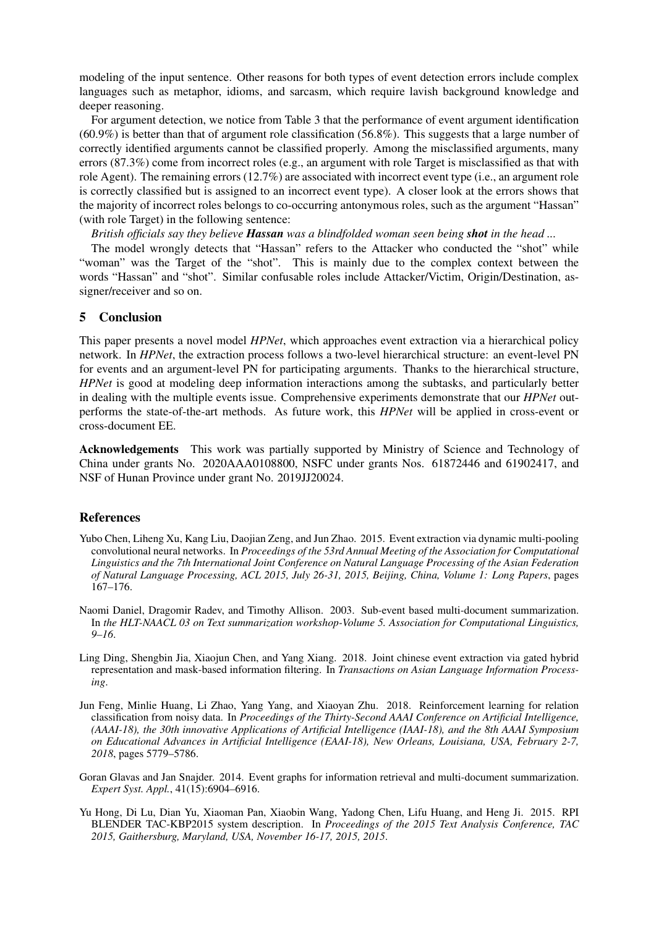modeling of the input sentence. Other reasons for both types of event detection errors include complex languages such as metaphor, idioms, and sarcasm, which require lavish background knowledge and deeper reasoning.

For argument detection, we notice from Table [3](#page-6-3) that the performance of event argument identification (60.9%) is better than that of argument role classification (56.8%). This suggests that a large number of correctly identified arguments cannot be classified properly. Among the misclassified arguments, many errors (87.3%) come from incorrect roles (e.g., an argument with role Target is misclassified as that with role Agent). The remaining errors (12.7%) are associated with incorrect event type (i.e., an argument role is correctly classified but is assigned to an incorrect event type). A closer look at the errors shows that the majority of incorrect roles belongs to co-occurring antonymous roles, such as the argument "Hassan" (with role Target) in the following sentence:

*British officials say they believe Hassan was a blindfolded woman seen being shot in the head ...*

The model wrongly detects that "Hassan" refers to the Attacker who conducted the "shot" while "woman" was the Target of the "shot". This is mainly due to the complex context between the words "Hassan" and "shot". Similar confusable roles include Attacker/Victim, Origin/Destination, assigner/receiver and so on.

## <span id="page-9-3"></span>5 Conclusion

This paper presents a novel model *HPNet*, which approaches event extraction via a hierarchical policy network. In *HPNet*, the extraction process follows a two-level hierarchical structure: an event-level PN for events and an argument-level PN for participating arguments. Thanks to the hierarchical structure, *HPNet* is good at modeling deep information interactions among the subtasks, and particularly better in dealing with the multiple events issue. Comprehensive experiments demonstrate that our *HPNet* outperforms the state-of-the-art methods. As future work, this *HPNet* will be applied in cross-event or cross-document EE.

Acknowledgements This work was partially supported by Ministry of Science and Technology of China under grants No. 2020AAA0108800, NSFC under grants Nos. 61872446 and 61902417, and NSF of Hunan Province under grant No. 2019JJ20024.

## **References**

- <span id="page-9-2"></span>Yubo Chen, Liheng Xu, Kang Liu, Daojian Zeng, and Jun Zhao. 2015. Event extraction via dynamic multi-pooling convolutional neural networks. In *Proceedings of the 53rd Annual Meeting of the Association for Computational Linguistics and the 7th International Joint Conference on Natural Language Processing of the Asian Federation of Natural Language Processing, ACL 2015, July 26-31, 2015, Beijing, China, Volume 1: Long Papers*, pages 167–176.
- <span id="page-9-1"></span>Naomi Daniel, Dragomir Radev, and Timothy Allison. 2003. Sub-event based multi-document summarization. In *the HLT-NAACL 03 on Text summarization workshop-Volume 5. Association for Computational Linguistics, 9–16*.
- <span id="page-9-5"></span>Ling Ding, Shengbin Jia, Xiaojun Chen, and Yang Xiang. 2018. Joint chinese event extraction via gated hybrid representation and mask-based information filtering. In *Transactions on Asian Language Information Processing*.
- <span id="page-9-4"></span>Jun Feng, Minlie Huang, Li Zhao, Yang Yang, and Xiaoyan Zhu. 2018. Reinforcement learning for relation classification from noisy data. In *Proceedings of the Thirty-Second AAAI Conference on Artificial Intelligence, (AAAI-18), the 30th innovative Applications of Artificial Intelligence (IAAI-18), and the 8th AAAI Symposium on Educational Advances in Artificial Intelligence (EAAI-18), New Orleans, Louisiana, USA, February 2-7, 2018*, pages 5779–5786.
- <span id="page-9-0"></span>Goran Glavas and Jan Snajder. 2014. Event graphs for information retrieval and multi-document summarization. *Expert Syst. Appl.*, 41(15):6904–6916.
- <span id="page-9-6"></span>Yu Hong, Di Lu, Dian Yu, Xiaoman Pan, Xiaobin Wang, Yadong Chen, Lifu Huang, and Heng Ji. 2015. RPI BLENDER TAC-KBP2015 system description. In *Proceedings of the 2015 Text Analysis Conference, TAC 2015, Gaithersburg, Maryland, USA, November 16-17, 2015, 2015*.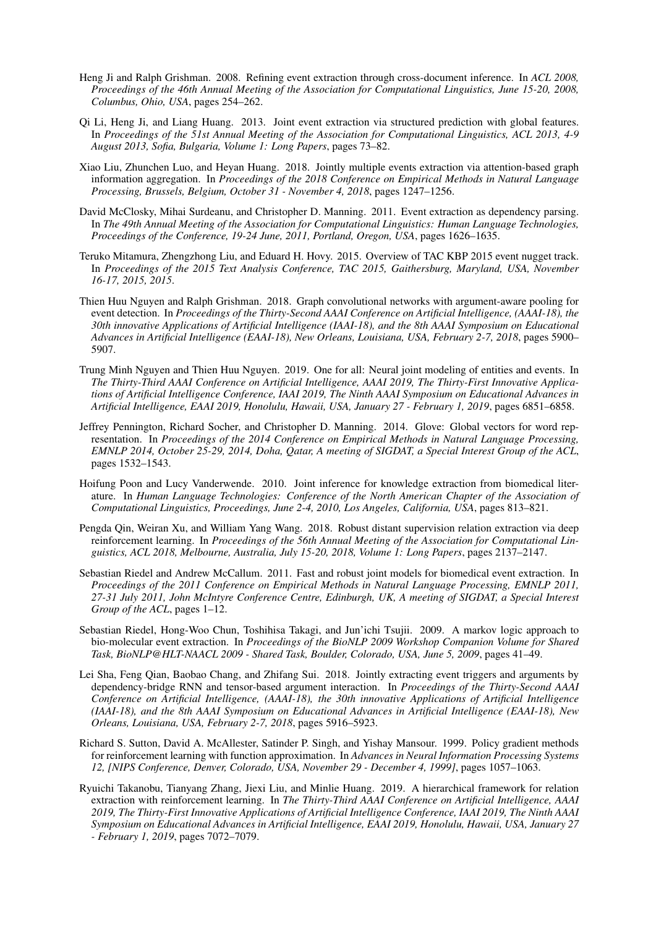- <span id="page-10-13"></span>Heng Ji and Ralph Grishman. 2008. Refining event extraction through cross-document inference. In *ACL 2008, Proceedings of the 46th Annual Meeting of the Association for Computational Linguistics, June 15-20, 2008, Columbus, Ohio, USA*, pages 254–262.
- <span id="page-10-6"></span>Qi Li, Heng Ji, and Liang Huang. 2013. Joint event extraction via structured prediction with global features. In *Proceedings of the 51st Annual Meeting of the Association for Computational Linguistics, ACL 2013, 4-9 August 2013, Sofia, Bulgaria, Volume 1: Long Papers*, pages 73–82.
- <span id="page-10-7"></span>Xiao Liu, Zhunchen Luo, and Heyan Huang. 2018. Jointly multiple events extraction via attention-based graph information aggregation. In *Proceedings of the 2018 Conference on Empirical Methods in Natural Language Processing, Brussels, Belgium, October 31 - November 4, 2018*, pages 1247–1256.
- <span id="page-10-0"></span>David McClosky, Mihai Surdeanu, and Christopher D. Manning. 2011. Event extraction as dependency parsing. In *The 49th Annual Meeting of the Association for Computational Linguistics: Human Language Technologies, Proceedings of the Conference, 19-24 June, 2011, Portland, Oregon, USA*, pages 1626–1635.
- <span id="page-10-12"></span>Teruko Mitamura, Zhengzhong Liu, and Eduard H. Hovy. 2015. Overview of TAC KBP 2015 event nugget track. In *Proceedings of the 2015 Text Analysis Conference, TAC 2015, Gaithersburg, Maryland, USA, November 16-17, 2015, 2015*.
- <span id="page-10-1"></span>Thien Huu Nguyen and Ralph Grishman. 2018. Graph convolutional networks with argument-aware pooling for event detection. In *Proceedings of the Thirty-Second AAAI Conference on Artificial Intelligence, (AAAI-18), the 30th innovative Applications of Artificial Intelligence (IAAI-18), and the 8th AAAI Symposium on Educational Advances in Artificial Intelligence (EAAI-18), New Orleans, Louisiana, USA, February 2-7, 2018*, pages 5900– 5907.
- <span id="page-10-2"></span>Trung Minh Nguyen and Thien Huu Nguyen. 2019. One for all: Neural joint modeling of entities and events. In *The Thirty-Third AAAI Conference on Artificial Intelligence, AAAI 2019, The Thirty-First Innovative Applications of Artificial Intelligence Conference, IAAI 2019, The Ninth AAAI Symposium on Educational Advances in Artificial Intelligence, EAAI 2019, Honolulu, Hawaii, USA, January 27 - February 1, 2019*, pages 6851–6858.
- <span id="page-10-14"></span>Jeffrey Pennington, Richard Socher, and Christopher D. Manning. 2014. Glove: Global vectors for word representation. In *Proceedings of the 2014 Conference on Empirical Methods in Natural Language Processing, EMNLP 2014, October 25-29, 2014, Doha, Qatar, A meeting of SIGDAT, a Special Interest Group of the ACL*, pages 1532–1543.
- <span id="page-10-4"></span>Hoifung Poon and Lucy Vanderwende. 2010. Joint inference for knowledge extraction from biomedical literature. In *Human Language Technologies: Conference of the North American Chapter of the Association of Computational Linguistics, Proceedings, June 2-4, 2010, Los Angeles, California, USA*, pages 813–821.
- <span id="page-10-10"></span>Pengda Qin, Weiran Xu, and William Yang Wang. 2018. Robust distant supervision relation extraction via deep reinforcement learning. In *Proceedings of the 56th Annual Meeting of the Association for Computational Linguistics, ACL 2018, Melbourne, Australia, July 15-20, 2018, Volume 1: Long Papers*, pages 2137–2147.
- <span id="page-10-5"></span>Sebastian Riedel and Andrew McCallum. 2011. Fast and robust joint models for biomedical event extraction. In *Proceedings of the 2011 Conference on Empirical Methods in Natural Language Processing, EMNLP 2011, 27-31 July 2011, John McIntyre Conference Centre, Edinburgh, UK, A meeting of SIGDAT, a Special Interest Group of the ACL*, pages 1–12.
- <span id="page-10-8"></span>Sebastian Riedel, Hong-Woo Chun, Toshihisa Takagi, and Jun'ichi Tsujii. 2009. A markov logic approach to bio-molecular event extraction. In *Proceedings of the BioNLP 2009 Workshop Companion Volume for Shared Task, BioNLP@HLT-NAACL 2009 - Shared Task, Boulder, Colorado, USA, June 5, 2009*, pages 41–49.
- <span id="page-10-9"></span>Lei Sha, Feng Qian, Baobao Chang, and Zhifang Sui. 2018. Jointly extracting event triggers and arguments by dependency-bridge RNN and tensor-based argument interaction. In *Proceedings of the Thirty-Second AAAI Conference on Artificial Intelligence, (AAAI-18), the 30th innovative Applications of Artificial Intelligence (IAAI-18), and the 8th AAAI Symposium on Educational Advances in Artificial Intelligence (EAAI-18), New Orleans, Louisiana, USA, February 2-7, 2018*, pages 5916–5923.
- <span id="page-10-3"></span>Richard S. Sutton, David A. McAllester, Satinder P. Singh, and Yishay Mansour. 1999. Policy gradient methods for reinforcement learning with function approximation. In *Advances in Neural Information Processing Systems 12, [NIPS Conference, Denver, Colorado, USA, November 29 - December 4, 1999]*, pages 1057–1063.
- <span id="page-10-11"></span>Ryuichi Takanobu, Tianyang Zhang, Jiexi Liu, and Minlie Huang. 2019. A hierarchical framework for relation extraction with reinforcement learning. In *The Thirty-Third AAAI Conference on Artificial Intelligence, AAAI 2019, The Thirty-First Innovative Applications of Artificial Intelligence Conference, IAAI 2019, The Ninth AAAI Symposium on Educational Advances in Artificial Intelligence, EAAI 2019, Honolulu, Hawaii, USA, January 27 - February 1, 2019*, pages 7072–7079.